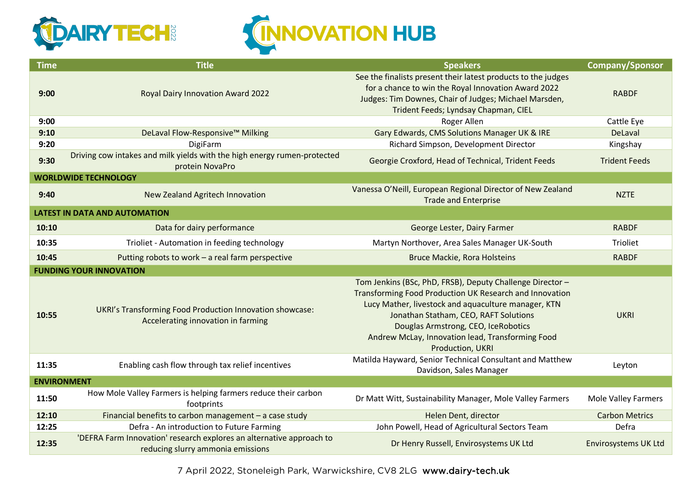

## **CINNOVATION HUB**

| <b>Time</b>                          | <b>Title</b>                                                                                              | <b>Speakers</b>                                                                                                                                                                                                                                                                                                                     | <b>Company/Sponsor</b>      |  |  |  |
|--------------------------------------|-----------------------------------------------------------------------------------------------------------|-------------------------------------------------------------------------------------------------------------------------------------------------------------------------------------------------------------------------------------------------------------------------------------------------------------------------------------|-----------------------------|--|--|--|
| 9:00                                 | Royal Dairy Innovation Award 2022                                                                         | See the finalists present their latest products to the judges<br>for a chance to win the Royal Innovation Award 2022<br>Judges: Tim Downes, Chair of Judges; Michael Marsden,<br>Trident Feeds; Lyndsay Chapman, CIEL                                                                                                               | <b>RABDF</b>                |  |  |  |
| 9:00                                 |                                                                                                           | Roger Allen                                                                                                                                                                                                                                                                                                                         | Cattle Eye                  |  |  |  |
| 9:10                                 | DeLaval Flow-Responsive™ Milking                                                                          | Gary Edwards, CMS Solutions Manager UK & IRE                                                                                                                                                                                                                                                                                        | DeLaval                     |  |  |  |
| 9:20                                 | DigiFarm                                                                                                  | Richard Simpson, Development Director                                                                                                                                                                                                                                                                                               | Kingshay                    |  |  |  |
| 9:30                                 | Driving cow intakes and milk yields with the high energy rumen-protected<br>protein NovaPro               | Georgie Croxford, Head of Technical, Trident Feeds                                                                                                                                                                                                                                                                                  | <b>Trident Feeds</b>        |  |  |  |
|                                      | <b>WORLDWIDE TECHNOLOGY</b>                                                                               |                                                                                                                                                                                                                                                                                                                                     |                             |  |  |  |
| 9:40                                 | New Zealand Agritech Innovation                                                                           | Vanessa O'Neill, European Regional Director of New Zealand<br><b>Trade and Enterprise</b>                                                                                                                                                                                                                                           | <b>NZTE</b>                 |  |  |  |
| <b>LATEST IN DATA AND AUTOMATION</b> |                                                                                                           |                                                                                                                                                                                                                                                                                                                                     |                             |  |  |  |
| 10:10                                | Data for dairy performance                                                                                | George Lester, Dairy Farmer                                                                                                                                                                                                                                                                                                         | <b>RABDF</b>                |  |  |  |
| 10:35                                | Trioliet - Automation in feeding technology                                                               | Martyn Northover, Area Sales Manager UK-South                                                                                                                                                                                                                                                                                       | <b>Trioliet</b>             |  |  |  |
| 10:45                                | Putting robots to work - a real farm perspective                                                          | <b>Bruce Mackie, Rora Holsteins</b>                                                                                                                                                                                                                                                                                                 | <b>RABDF</b>                |  |  |  |
|                                      | <b>FUNDING YOUR INNOVATION</b>                                                                            |                                                                                                                                                                                                                                                                                                                                     |                             |  |  |  |
| 10:55                                | UKRI's Transforming Food Production Innovation showcase:<br>Accelerating innovation in farming            | Tom Jenkins (BSc, PhD, FRSB), Deputy Challenge Director -<br>Transforming Food Production UK Research and Innovation<br>Lucy Mather, livestock and aquaculture manager, KTN<br>Jonathan Statham, CEO, RAFT Solutions<br>Douglas Armstrong, CEO, IceRobotics<br>Andrew McLay, Innovation lead, Transforming Food<br>Production, UKRI | <b>UKRI</b>                 |  |  |  |
| 11:35                                | Enabling cash flow through tax relief incentives                                                          | Matilda Hayward, Senior Technical Consultant and Matthew<br>Davidson, Sales Manager                                                                                                                                                                                                                                                 | Leyton                      |  |  |  |
| <b>ENVIRONMENT</b>                   |                                                                                                           |                                                                                                                                                                                                                                                                                                                                     |                             |  |  |  |
| 11:50                                | How Mole Valley Farmers is helping farmers reduce their carbon<br>footprints                              | Dr Matt Witt, Sustainability Manager, Mole Valley Farmers                                                                                                                                                                                                                                                                           | <b>Mole Valley Farmers</b>  |  |  |  |
| 12:10                                | Financial benefits to carbon management $-$ a case study                                                  | Helen Dent, director                                                                                                                                                                                                                                                                                                                | <b>Carbon Metrics</b>       |  |  |  |
| 12:25                                | Defra - An introduction to Future Farming                                                                 | John Powell, Head of Agricultural Sectors Team                                                                                                                                                                                                                                                                                      | Defra                       |  |  |  |
| 12:35                                | 'DEFRA Farm Innovation' research explores an alternative approach to<br>reducing slurry ammonia emissions | Dr Henry Russell, Envirosystems UK Ltd                                                                                                                                                                                                                                                                                              | <b>Envirosystems UK Ltd</b> |  |  |  |

7 April 2022, Stoneleigh Park, Warwickshire, CV8 2LG www.dairy-tech.uk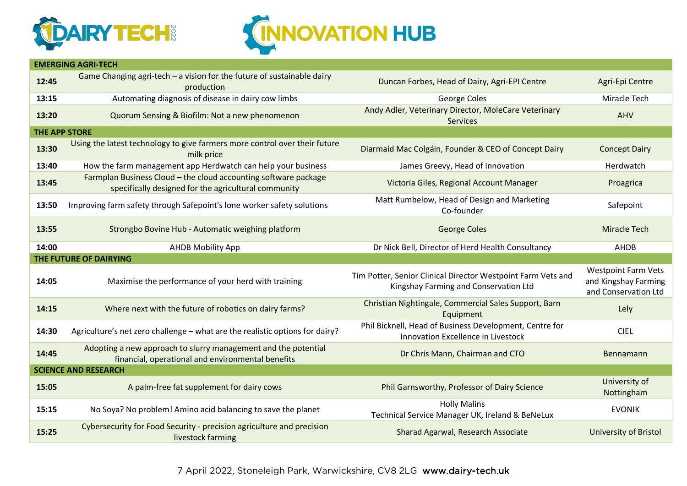



|       | <b>EMERGING AGRI-TECH</b>                                                                                               |                                                                                                       |                                                                            |  |  |  |  |
|-------|-------------------------------------------------------------------------------------------------------------------------|-------------------------------------------------------------------------------------------------------|----------------------------------------------------------------------------|--|--|--|--|
| 12:45 | Game Changing agri-tech $-$ a vision for the future of sustainable dairy<br>production                                  | Duncan Forbes, Head of Dairy, Agri-EPI Centre                                                         | Agri-Epi Centre                                                            |  |  |  |  |
| 13:15 | Automating diagnosis of disease in dairy cow limbs                                                                      | George Coles                                                                                          | Miracle Tech                                                               |  |  |  |  |
| 13:20 | Quorum Sensing & Biofilm: Not a new phenomenon                                                                          | Andy Adler, Veterinary Director, MoleCare Veterinary<br><b>Services</b>                               | AHV                                                                        |  |  |  |  |
|       | <b>THE APP STORE</b>                                                                                                    |                                                                                                       |                                                                            |  |  |  |  |
| 13:30 | Using the latest technology to give farmers more control over their future<br>milk price                                | Diarmaid Mac Colgáin, Founder & CEO of Concept Dairy                                                  | <b>Concept Dairy</b>                                                       |  |  |  |  |
| 13:40 | How the farm management app Herdwatch can help your business                                                            | James Greevy, Head of Innovation                                                                      | Herdwatch                                                                  |  |  |  |  |
| 13:45 | Farmplan Business Cloud - the cloud accounting software package<br>specifically designed for the agricultural community | Victoria Giles, Regional Account Manager                                                              | Proagrica                                                                  |  |  |  |  |
| 13:50 | Improving farm safety through Safepoint's lone worker safety solutions                                                  | Matt Rumbelow, Head of Design and Marketing<br>Co-founder                                             | Safepoint                                                                  |  |  |  |  |
| 13:55 | Strongbo Bovine Hub - Automatic weighing platform                                                                       | <b>George Coles</b>                                                                                   | <b>Miracle Tech</b>                                                        |  |  |  |  |
| 14:00 | <b>AHDB Mobility App</b>                                                                                                | Dr Nick Bell, Director of Herd Health Consultancy                                                     | <b>AHDB</b>                                                                |  |  |  |  |
|       |                                                                                                                         |                                                                                                       |                                                                            |  |  |  |  |
|       | THE FUTURE OF DAIRYING                                                                                                  |                                                                                                       |                                                                            |  |  |  |  |
| 14:05 | Maximise the performance of your herd with training                                                                     | Tim Potter, Senior Clinical Director Westpoint Farm Vets and<br>Kingshay Farming and Conservation Ltd | <b>Westpoint Farm Vets</b><br>and Kingshay Farming<br>and Conservation Ltd |  |  |  |  |
| 14:15 | Where next with the future of robotics on dairy farms?                                                                  | Christian Nightingale, Commercial Sales Support, Barn<br>Equipment                                    | Lely                                                                       |  |  |  |  |
| 14:30 | Agriculture's net zero challenge - what are the realistic options for dairy?                                            | Phil Bicknell, Head of Business Development, Centre for<br>Innovation Excellence in Livestock         | <b>CIEL</b>                                                                |  |  |  |  |
| 14:45 | Adopting a new approach to slurry management and the potential<br>financial, operational and environmental benefits     | Dr Chris Mann, Chairman and CTO                                                                       | Bennamann                                                                  |  |  |  |  |
|       | <b>SCIENCE AND RESEARCH</b>                                                                                             |                                                                                                       |                                                                            |  |  |  |  |
| 15:05 | A palm-free fat supplement for dairy cows                                                                               | Phil Garnsworthy, Professor of Dairy Science                                                          | University of<br>Nottingham                                                |  |  |  |  |
| 15:15 | No Soya? No problem! Amino acid balancing to save the planet                                                            | <b>Holly Malins</b><br>Technical Service Manager UK, Ireland & BeNeLux                                | <b>EVONIK</b>                                                              |  |  |  |  |